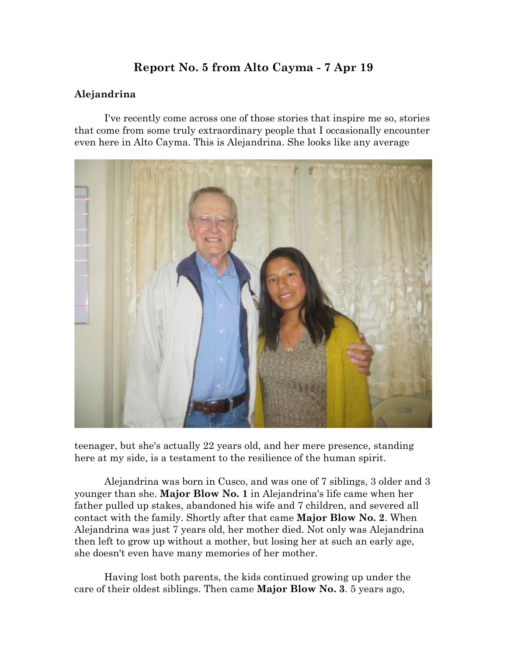# **Report No. 5 from Alto Cayma - 7 Apr 19**

### **Alejandrina**

I've recently come across one of those stories that inspire me so, stories that come from some truly extraordinary people that I occasionally encounter even here in Alto Cayma. This is Alejandrina. She looks like any average



teenager, but she's actually 22 years old, and her mere presence, standing here at my side, is a testament to the resilience of the human spirit.

Alejandrina was born in Cusco, and was one of 7 siblings, 3 older and 3 younger than she. **Major Blow No. 1** in Alejandrina's life came when her father pulled up stakes, abandoned his wife and 7 children, and severed all contact with the family. Shortly after that came **Major Blow No. 2**. When Alejandrina was just 7 years old, her mother died. Not only was Alejandrina then left to grow up without a mother, but losing her at such an early age, she doesn't even have many memories of her mother.

Having lost both parents, the kids continued growing up under the care of their oldest siblings. Then came **Major Blow No. 3**. 5 years ago,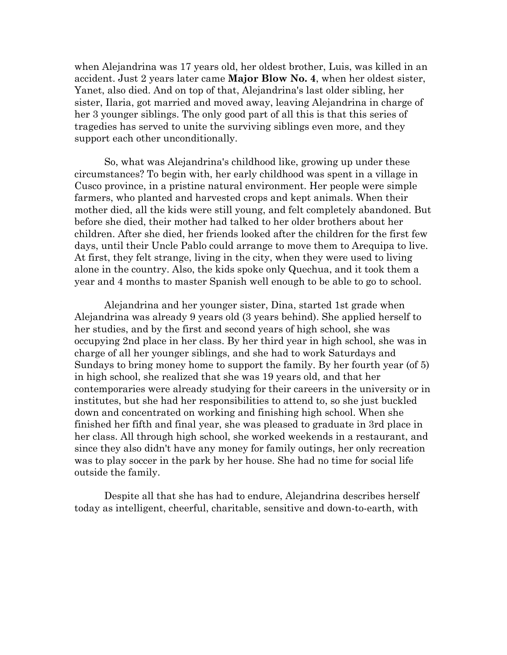when Alejandrina was 17 years old, her oldest brother, Luis, was killed in an accident. Just 2 years later came **Major Blow No. 4**, when her oldest sister, Yanet, also died. And on top of that, Alejandrina's last older sibling, her sister, Ilaria, got married and moved away, leaving Alejandrina in charge of her 3 younger siblings. The only good part of all this is that this series of tragedies has served to unite the surviving siblings even more, and they support each other unconditionally.

So, what was Alejandrina's childhood like, growing up under these circumstances? To begin with, her early childhood was spent in a village in Cusco province, in a pristine natural environment. Her people were simple farmers, who planted and harvested crops and kept animals. When their mother died, all the kids were still young, and felt completely abandoned. But before she died, their mother had talked to her older brothers about her children. After she died, her friends looked after the children for the first few days, until their Uncle Pablo could arrange to move them to Arequipa to live. At first, they felt strange, living in the city, when they were used to living alone in the country. Also, the kids spoke only Quechua, and it took them a year and 4 months to master Spanish well enough to be able to go to school.

Alejandrina and her younger sister, Dina, started 1st grade when Alejandrina was already 9 years old (3 years behind). She applied herself to her studies, and by the first and second years of high school, she was occupying 2nd place in her class. By her third year in high school, she was in charge of all her younger siblings, and she had to work Saturdays and Sundays to bring money home to support the family. By her fourth year (of 5) in high school, she realized that she was 19 years old, and that her contemporaries were already studying for their careers in the university or in institutes, but she had her responsibilities to attend to, so she just buckled down and concentrated on working and finishing high school. When she finished her fifth and final year, she was pleased to graduate in 3rd place in her class. All through high school, she worked weekends in a restaurant, and since they also didn't have any money for family outings, her only recreation was to play soccer in the park by her house. She had no time for social life outside the family.

Despite all that she has had to endure, Alejandrina describes herself today as intelligent, cheerful, charitable, sensitive and down-to-earth, with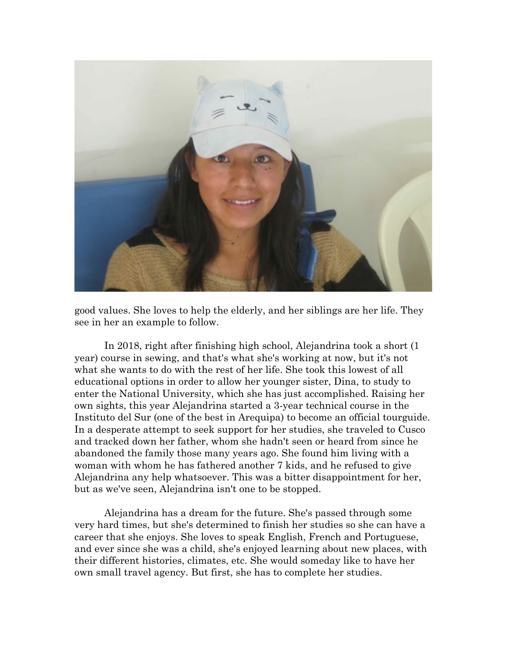

good values. She loves to help the elderly, and her siblings are her life. They see in her an example to follow.

In 2018, right after finishing high school, Alejandrina took a short (1 year) course in sewing, and that's what she's working at now, but it's not what she wants to do with the rest of her life. She took this lowest of all educational options in order to allow her younger sister, Dina, to study to enter the National University, which she has just accomplished. Raising her own sights, this year Alejandrina started a 3-year technical course in the Instituto del Sur (one of the best in Arequipa) to become an official tourguide. In a desperate attempt to seek support for her studies, she traveled to Cusco and tracked down her father, whom she hadn't seen or heard from since he abandoned the family those many years ago. She found him living with a woman with whom he has fathered another 7 kids, and he refused to give Alejandrina any help whatsoever. This was a bitter disappointment for her, but as we've seen, Alejandrina isn't one to be stopped.

Alejandrina has a dream for the future. She's passed through some very hard times, but she's determined to finish her studies so she can have a career that she enjoys. She loves to speak English, French and Portuguese, and ever since she was a child, she's enjoyed learning about new places, with their different histories, climates, etc. She would someday like to have her own small travel agency. But first, she has to complete her studies.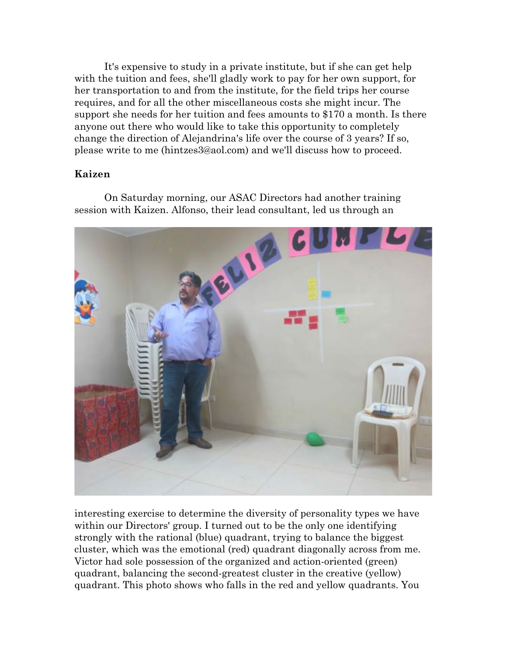It's expensive to study in a private institute, but if she can get help with the tuition and fees, she'll gladly work to pay for her own support, for her transportation to and from the institute, for the field trips her course requires, and for all the other miscellaneous costs she might incur. The support she needs for her tuition and fees amounts to \$170 a month. Is there anyone out there who would like to take this opportunity to completely change the direction of Alejandrina's life over the course of 3 years? If so, please write to me (hintzes3@aol.com) and we'll discuss how to proceed.

#### **Kaizen**

On Saturday morning, our ASAC Directors had another training session with Kaizen. Alfonso, their lead consultant, led us through an



interesting exercise to determine the diversity of personality types we have within our Directors' group. I turned out to be the only one identifying strongly with the rational (blue) quadrant, trying to balance the biggest cluster, which was the emotional (red) quadrant diagonally across from me. Victor had sole possession of the organized and action-oriented (green) quadrant, balancing the second-greatest cluster in the creative (yellow) quadrant. This photo shows who falls in the red and yellow quadrants. You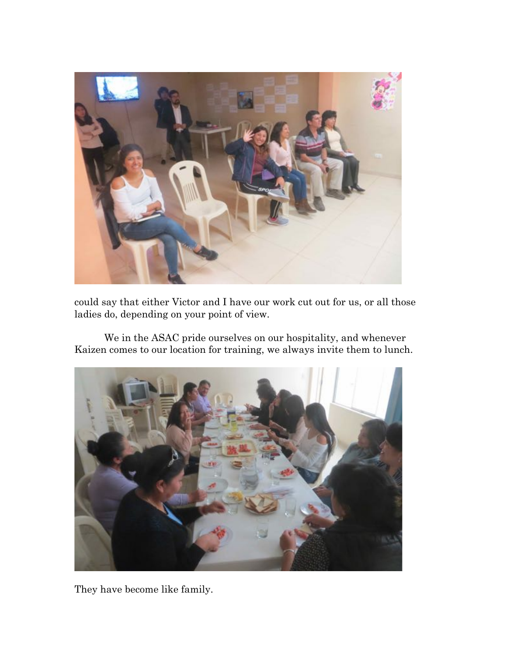

could say that either Victor and I have our work cut out for us, or all those ladies do, depending on your point of view.

We in the ASAC pride ourselves on our hospitality, and whenever Kaizen comes to our location for training, we always invite them to lunch.



They have become like family.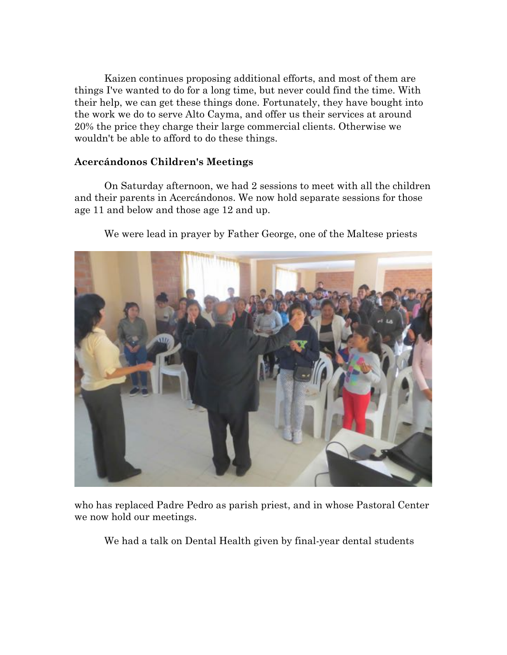Kaizen continues proposing additional efforts, and most of them are things I've wanted to do for a long time, but never could find the time. With their help, we can get these things done. Fortunately, they have bought into the work we do to serve Alto Cayma, and offer us their services at around 20% the price they charge their large commercial clients. Otherwise we wouldn't be able to afford to do these things.

#### **Acercándonos Children's Meetings**

On Saturday afternoon, we had 2 sessions to meet with all the children and their parents in Acercándonos. We now hold separate sessions for those age 11 and below and those age 12 and up.



We were lead in prayer by Father George, one of the Maltese priests

who has replaced Padre Pedro as parish priest, and in whose Pastoral Center we now hold our meetings.

We had a talk on Dental Health given by final-year dental students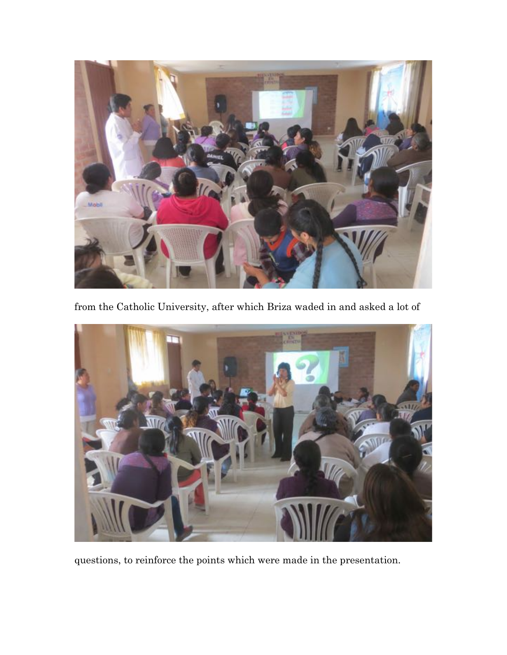

from the Catholic University, after which Briza waded in and asked a lot of



questions, to reinforce the points which were made in the presentation.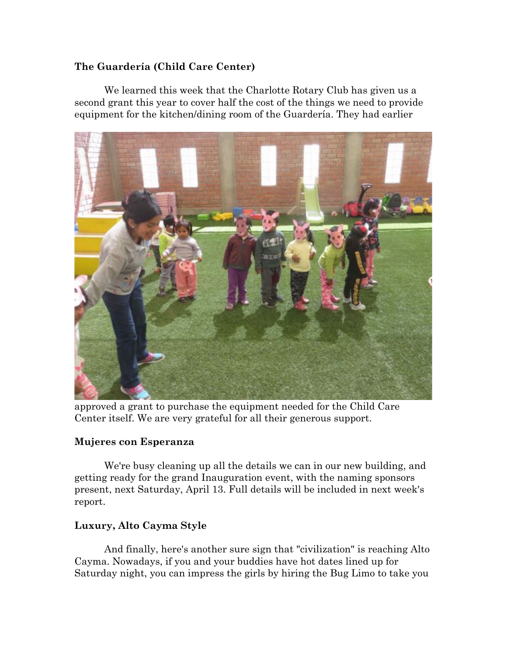# **The Guardería (Child Care Center)**

We learned this week that the Charlotte Rotary Club has given us a second grant this year to cover half the cost of the things we need to provide equipment for the kitchen/dining room of the Guardería. They had earlier



approved a grant to purchase the equipment needed for the Child Care Center itself. We are very grateful for all their generous support.

# **Mujeres con Esperanza**

We're busy cleaning up all the details we can in our new building, and getting ready for the grand Inauguration event, with the naming sponsors present, next Saturday, April 13. Full details will be included in next week's report.

# **Luxury, Alto Cayma Style**

And finally, here's another sure sign that "civilization" is reaching Alto Cayma. Nowadays, if you and your buddies have hot dates lined up for Saturday night, you can impress the girls by hiring the Bug Limo to take you